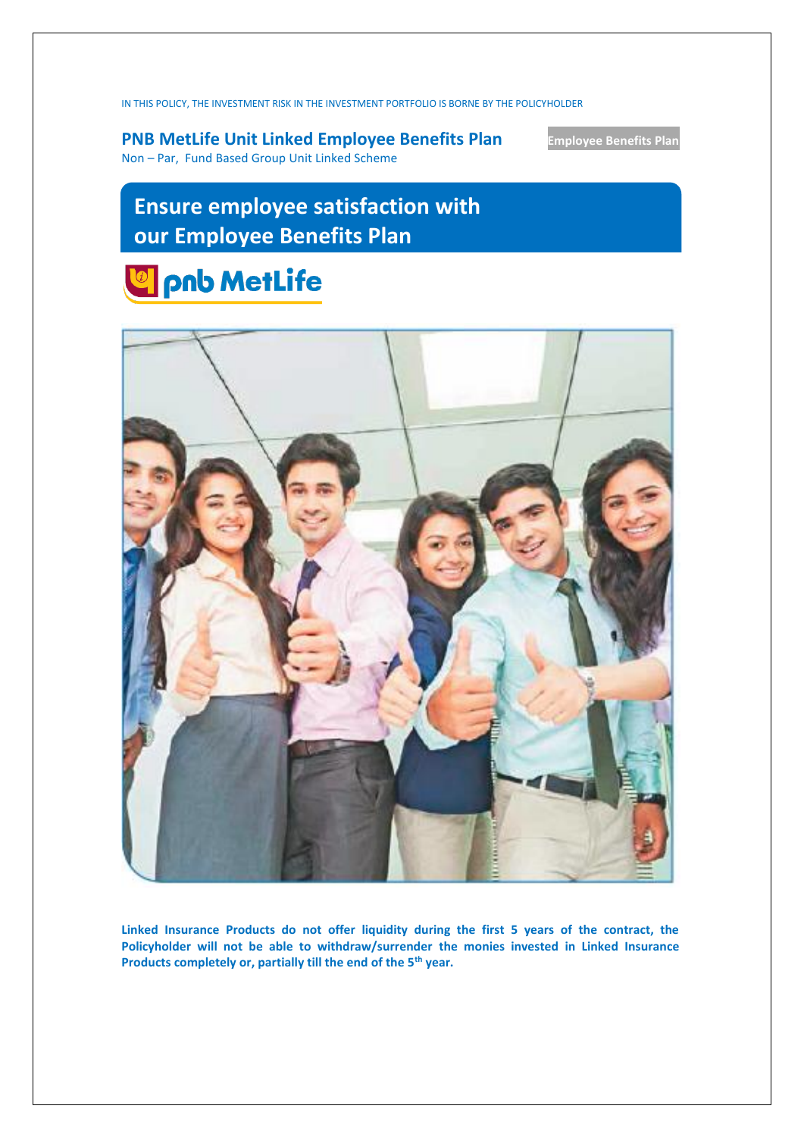IN THIS POLICY, THE INVESTMENT RISK IN THE INVESTMENT PORTFOLIO IS BORNE BY THE POLICYHOLDER

**PNB MetLife Unit Linked Employee Benefits Plan Employee Benefits Plan** Non – Par, Fund Based Group Unit Linked Scheme

# **Ensure employee satisfaction with our Employee Benefits Plan**





**Linked Insurance Products do not offer liquidity during the first 5 years of the contract, the Policyholder will not be able to withdraw/surrender the monies invested in Linked Insurance Products completely or, partially till the end of the 5th year.**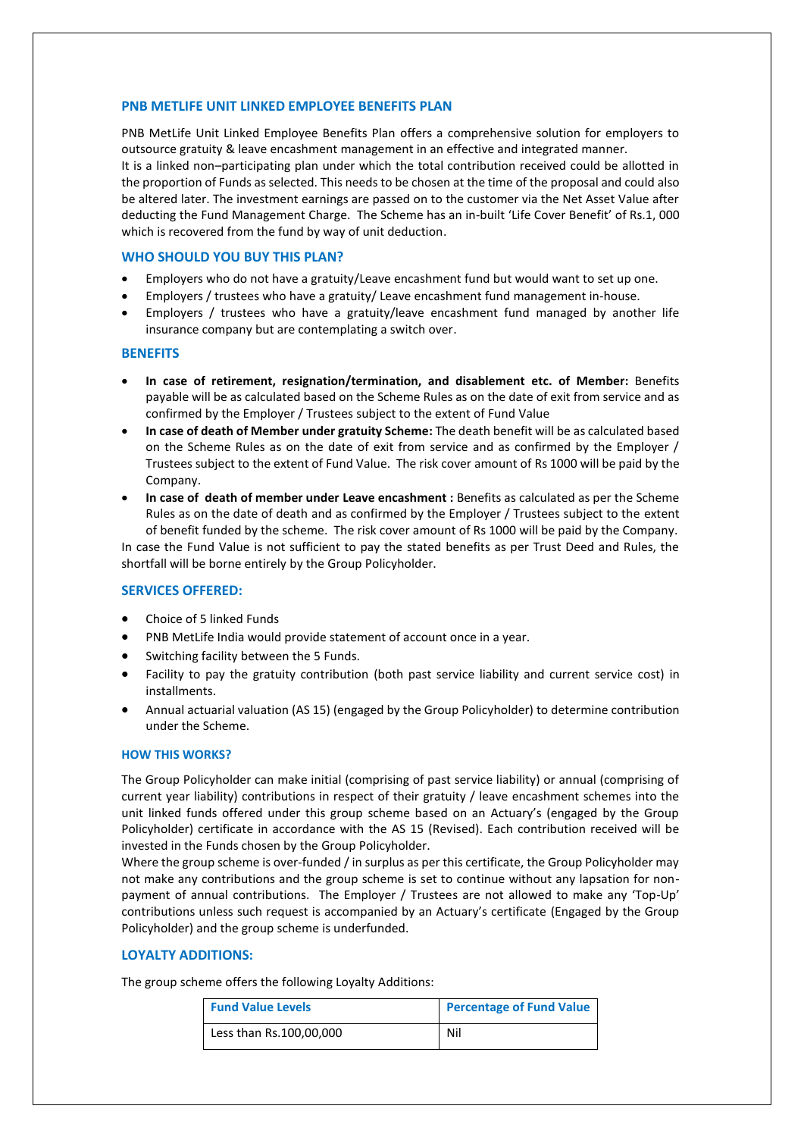## **PNB METLIFE UNIT LINKED EMPLOYEE BENEFITS PLAN**

PNB MetLife Unit Linked Employee Benefits Plan offers a comprehensive solution for employers to outsource gratuity & leave encashment management in an effective and integrated manner. It is a linked non–participating plan under which the total contribution received could be allotted in the proportion of Funds as selected. This needs to be chosen at the time of the proposal and could also be altered later. The investment earnings are passed on to the customer via the Net Asset Value after deducting the Fund Management Charge. The Scheme has an in-built 'Life Cover Benefit' of Rs.1, 000 which is recovered from the fund by way of unit deduction.

## **WHO SHOULD YOU BUY THIS PLAN?**

- Employers who do not have a gratuity/Leave encashment fund but would want to set up one.
- Employers / trustees who have a gratuity/ Leave encashment fund management in-house.
- Employers / trustees who have a gratuity/leave encashment fund managed by another life insurance company but are contemplating a switch over.

#### **BENEFITS**

- **In case of retirement, resignation/termination, and disablement etc. of Member:** Benefits payable will be as calculated based on the Scheme Rules as on the date of exit from service and as confirmed by the Employer / Trustees subject to the extent of Fund Value
- **In case of death of Member under gratuity Scheme:** The death benefit will be as calculated based on the Scheme Rules as on the date of exit from service and as confirmed by the Employer / Trustees subject to the extent of Fund Value. The risk cover amount of Rs 1000 will be paid by the Company.
- **In case of death of member under Leave encashment :** Benefits as calculated as per the Scheme Rules as on the date of death and as confirmed by the Employer / Trustees subject to the extent of benefit funded by the scheme. The risk cover amount of Rs 1000 will be paid by the Company.

In case the Fund Value is not sufficient to pay the stated benefits as per Trust Deed and Rules, the shortfall will be borne entirely by the Group Policyholder.

#### **SERVICES OFFERED:**

- Choice of 5 linked Funds
- PNB MetLife India would provide statement of account once in a year.
- Switching facility between the 5 Funds.
- Facility to pay the gratuity contribution (both past service liability and current service cost) in installments.
- Annual actuarial valuation (AS 15) (engaged by the Group Policyholder) to determine contribution under the Scheme.

#### **HOW THIS WORKS?**

The Group Policyholder can make initial (comprising of past service liability) or annual (comprising of current year liability) contributions in respect of their gratuity / leave encashment schemes into the unit linked funds offered under this group scheme based on an Actuary's (engaged by the Group Policyholder) certificate in accordance with the AS 15 (Revised). Each contribution received will be invested in the Funds chosen by the Group Policyholder.

Where the group scheme is over-funded / in surplus as per this certificate, the Group Policyholder may not make any contributions and the group scheme is set to continue without any lapsation for nonpayment of annual contributions. The Employer / Trustees are not allowed to make any 'Top-Up' contributions unless such request is accompanied by an Actuary's certificate (Engaged by the Group Policyholder) and the group scheme is underfunded.

## **LOYALTY ADDITIONS:**

The group scheme offers the following Loyalty Additions:

| <b>Fund Value Levels</b> | <b>Percentage of Fund Value</b> |
|--------------------------|---------------------------------|
| Less than Rs.100,00,000  | Nil                             |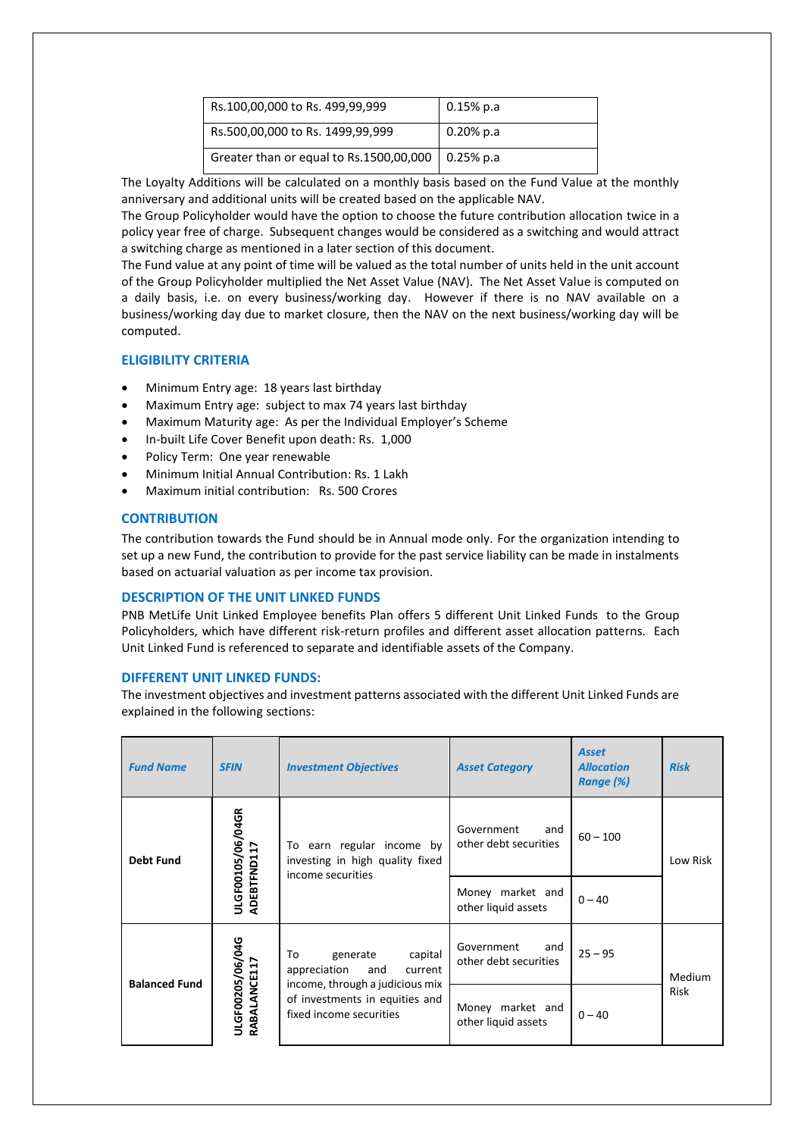| Rs.100,00,000 to Rs. 499,99,999         | $0.15\%$ p.a      |
|-----------------------------------------|-------------------|
| Rs.500,00,000 to Rs. 1499,99,999        | $0.20\%$ p.a      |
| Greater than or equal to Rs.1500,00,000 | $\vert$ 0.25% p.a |

The Loyalty Additions will be calculated on a monthly basis based on the Fund Value at the monthly anniversary and additional units will be created based on the applicable NAV.

The Group Policyholder would have the option to choose the future contribution allocation twice in a policy year free of charge. Subsequent changes would be considered as a switching and would attract a switching charge as mentioned in a later section of this document.

The Fund value at any point of time will be valued as the total number of units held in the unit account of the Group Policyholder multiplied the Net Asset Value (NAV). The Net Asset Value is computed on a daily basis, i.e. on every business/working day. However if there is no NAV available on a business/working day due to market closure, then the NAV on the next business/working day will be computed.

## **ELIGIBILITY CRITERIA**

- Minimum Entry age: 18 years last birthday
- Maximum Entry age: subject to max 74 years last birthday
- Maximum Maturity age: As per the Individual Employer's Scheme
- In-built Life Cover Benefit upon death: Rs. 1,000
- Policy Term: One year renewable
- Minimum Initial Annual Contribution: Rs. 1 Lakh
- Maximum initial contribution: Rs. 500 Crores

## **CONTRIBUTION**

The contribution towards the Fund should be in Annual mode only. For the organization intending to set up a new Fund, the contribution to provide for the past service liability can be made in instalments based on actuarial valuation as per income tax provision.

#### **DESCRIPTION OF THE UNIT LINKED FUNDS**

PNB MetLife Unit Linked Employee benefits Plan offers 5 different Unit Linked Funds to the Group Policyholders, which have different risk-return profiles and different asset allocation patterns. Each Unit Linked Fund is referenced to separate and identifiable assets of the Company.

#### **DIFFERENT UNIT LINKED FUNDS:**

The investment objectives and investment patterns associated with the different Unit Linked Funds are explained in the following sections:

| <b>Fund Name</b>     | <b>SFIN</b>                      | <b>Investment Objectives</b>                                                                 | <b>Asset Category</b>                      | <b>Asset</b><br><b>Allocation</b><br>Range (%) | <b>Risk</b>   |
|----------------------|----------------------------------|----------------------------------------------------------------------------------------------|--------------------------------------------|------------------------------------------------|---------------|
| <b>Debt Fund</b>     | ULGF00105/06/04GR                | To earn regular income by<br>investing in high quality fixed<br>income securities            | Government<br>and<br>other debt securities | $60 - 100$                                     | Low Risk      |
|                      | ADEBTFND117                      |                                                                                              | Money market and<br>other liquid assets    | $0 - 40$                                       |               |
| <b>Balanced Fund</b> |                                  | To<br>generate<br>capital<br>and<br>appreciation<br>current                                  | Government<br>and<br>other debt securities | $25 - 95$                                      | <b>Medium</b> |
|                      | ULGF00205/06/04G<br>RABALANCE117 | income, through a judicious mix<br>of investments in equities and<br>fixed income securities | Money market and<br>other liquid assets    | $0 - 40$                                       | <b>Risk</b>   |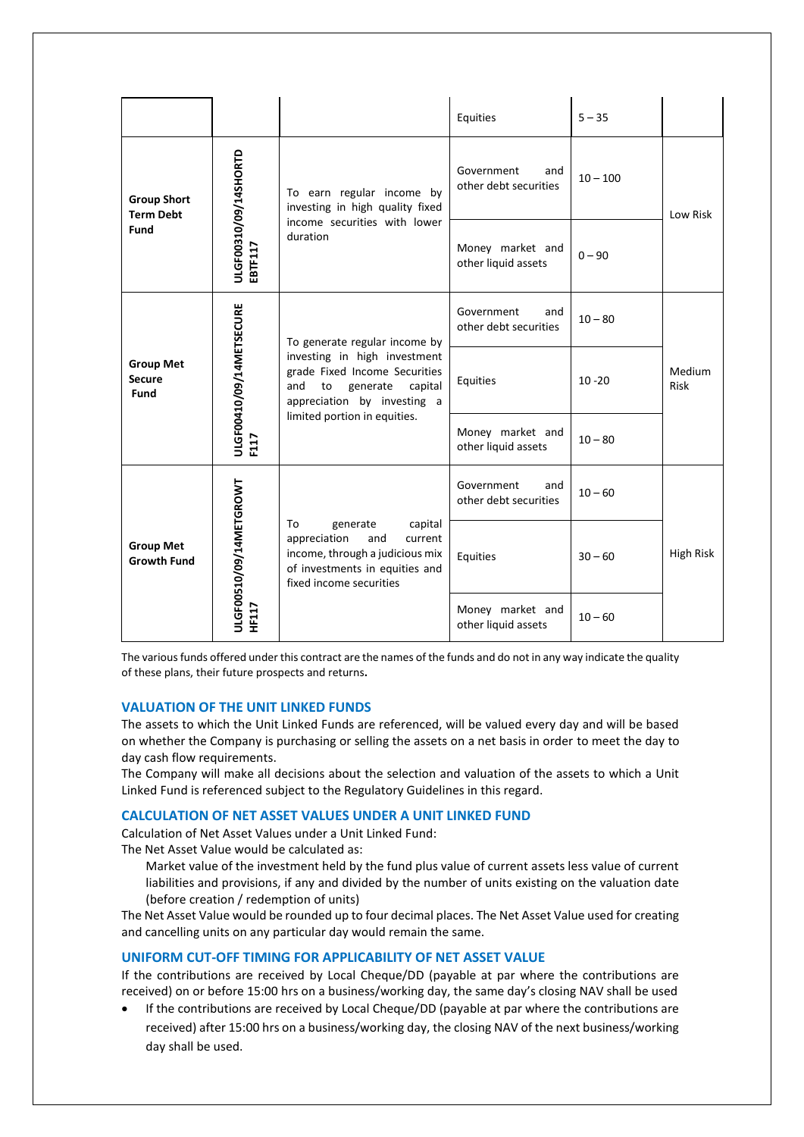|                                           |                                  |                                                                                                                                                                                                   | Equities                                   | $5 - 35$   |                       |
|-------------------------------------------|----------------------------------|---------------------------------------------------------------------------------------------------------------------------------------------------------------------------------------------------|--------------------------------------------|------------|-----------------------|
| <b>Group Short</b><br><b>Term Debt</b>    | ULGF00310/09/14SHORTD            | To earn regular income by<br>investing in high quality fixed<br>income securities with lower<br>duration                                                                                          | Government<br>and<br>other debt securities | $10 - 100$ | Low Risk              |
| Fund                                      | EBTF117                          |                                                                                                                                                                                                   | Money market and<br>other liquid assets    | $0 - 90$   |                       |
|                                           | ULGF00410/09/14METSECURE<br>F117 | To generate regular income by<br>investing in high investment<br>grade Fixed Income Securities<br>and<br>to<br>generate<br>capital<br>appreciation by investing a<br>limited portion in equities. | Government<br>and<br>other debt securities | $10 - 80$  |                       |
| <b>Group Met</b><br><b>Secure</b><br>Fund |                                  |                                                                                                                                                                                                   | Equities                                   | $10 - 20$  | Medium<br><b>Risk</b> |
|                                           |                                  |                                                                                                                                                                                                   | Money market and<br>other liquid assets    | $10 - 80$  |                       |
|                                           |                                  | To<br>capital<br>generate<br>appreciation<br>and<br>current<br>income, through a judicious mix<br>of investments in equities and<br>fixed income securities                                       | Government<br>and<br>other debt securities | $10 - 60$  |                       |
| <b>Group Met</b><br><b>Growth Fund</b>    | ULGF00510/09/14METGROWT          |                                                                                                                                                                                                   | Equities                                   | $30 - 60$  | <b>High Risk</b>      |
|                                           | <b>HF117</b>                     |                                                                                                                                                                                                   | Money market and<br>other liquid assets    | $10 - 60$  |                       |

The various funds offered under this contract are the names of the funds and do not in any way indicate the quality of these plans, their future prospects and returns**.**

## **VALUATION OF THE UNIT LINKED FUNDS**

The assets to which the Unit Linked Funds are referenced, will be valued every day and will be based on whether the Company is purchasing or selling the assets on a net basis in order to meet the day to day cash flow requirements.

The Company will make all decisions about the selection and valuation of the assets to which a Unit Linked Fund is referenced subject to the Regulatory Guidelines in this regard.

## **CALCULATION OF NET ASSET VALUES UNDER A UNIT LINKED FUND**

Calculation of Net Asset Values under a Unit Linked Fund:

The Net Asset Value would be calculated as:

Market value of the investment held by the fund plus value of current assets less value of current liabilities and provisions, if any and divided by the number of units existing on the valuation date (before creation / redemption of units)

The Net Asset Value would be rounded up to four decimal places. The Net Asset Value used for creating and cancelling units on any particular day would remain the same.

## **UNIFORM CUT-OFF TIMING FOR APPLICABILITY OF NET ASSET VALUE**

If the contributions are received by Local Cheque/DD (payable at par where the contributions are received) on or before 15:00 hrs on a business/working day, the same day's closing NAV shall be used

 If the contributions are received by Local Cheque/DD (payable at par where the contributions are received) after 15:00 hrs on a business/working day, the closing NAV of the next business/working day shall be used.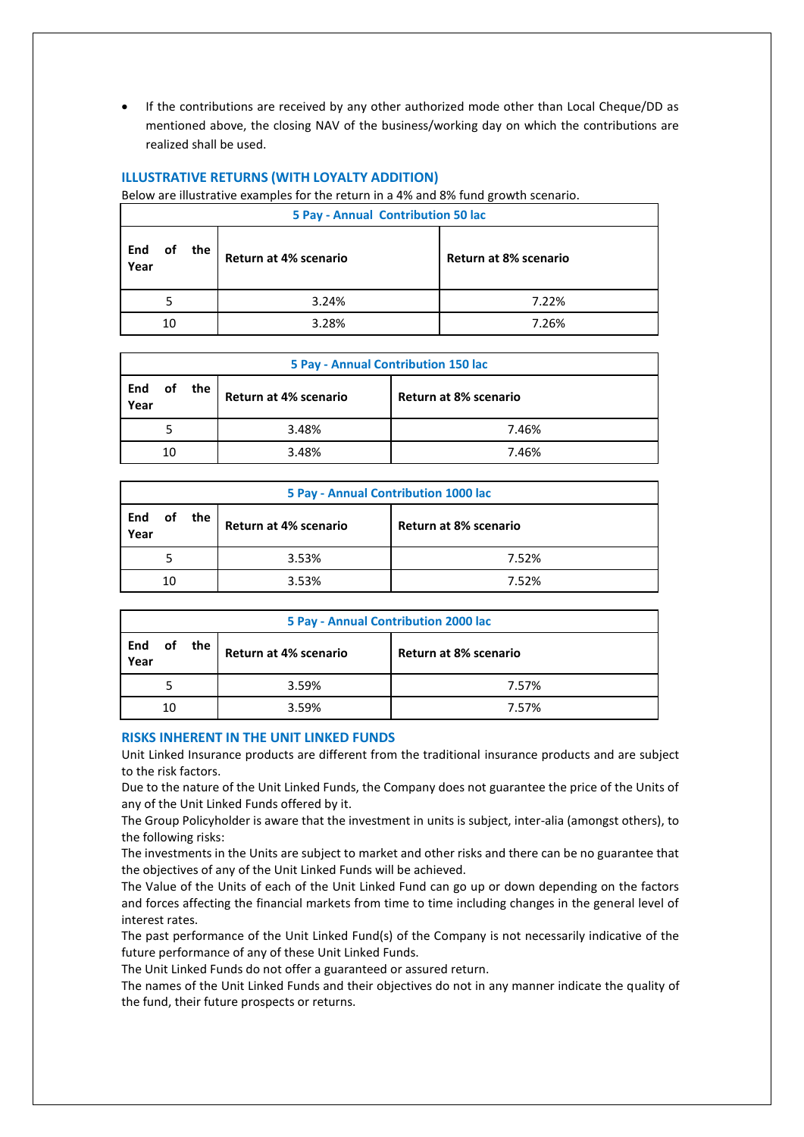If the contributions are received by any other authorized mode other than Local Cheque/DD as mentioned above, the closing NAV of the business/working day on which the contributions are realized shall be used.

## **ILLUSTRATIVE RETURNS (WITH LOYALTY ADDITION)**

Below are illustrative examples for the return in a 4% and 8% fund growth scenario.

| 5 Pay - Annual Contribution 50 lac |    |     |                       |                              |
|------------------------------------|----|-----|-----------------------|------------------------------|
| End<br>οf<br>Year                  |    | the | Return at 4% scenario | <b>Return at 8% scenario</b> |
|                                    |    |     | 3.24%                 | 7.22%                        |
|                                    | 10 |     | 3.28%                 | 7.26%                        |

| 5 Pay - Annual Contribution 150 lac |    |     |                       |                       |
|-------------------------------------|----|-----|-----------------------|-----------------------|
| End<br>οf<br>Year                   |    | the | Return at 4% scenario | Return at 8% scenario |
|                                     |    |     | 3.48%                 | 7.46%                 |
|                                     | 10 |     | 3.48%                 | 7.46%                 |

| 5 Pay - Annual Contribution 1000 lac |    |     |                       |                       |
|--------------------------------------|----|-----|-----------------------|-----------------------|
| End<br>Year                          | οf | the | Return at 4% scenario | Return at 8% scenario |
|                                      |    |     | 3.53%                 | 7.52%                 |
|                                      | 10 |     | 3.53%                 | 7.52%                 |

| 5 Pay - Annual Contribution 2000 lac |    |  |                       |                       |
|--------------------------------------|----|--|-----------------------|-----------------------|
| of the<br>End<br>Year                |    |  | Return at 4% scenario | Return at 8% scenario |
|                                      |    |  | 3.59%                 | 7.57%                 |
|                                      | 10 |  | 3.59%                 | 7.57%                 |

#### **RISKS INHERENT IN THE UNIT LINKED FUNDS**

Unit Linked Insurance products are different from the traditional insurance products and are subject to the risk factors.

Due to the nature of the Unit Linked Funds, the Company does not guarantee the price of the Units of any of the Unit Linked Funds offered by it.

The Group Policyholder is aware that the investment in units is subject, inter-alia (amongst others), to the following risks:

The investments in the Units are subject to market and other risks and there can be no guarantee that the objectives of any of the Unit Linked Funds will be achieved.

The Value of the Units of each of the Unit Linked Fund can go up or down depending on the factors and forces affecting the financial markets from time to time including changes in the general level of interest rates.

The past performance of the Unit Linked Fund(s) of the Company is not necessarily indicative of the future performance of any of these Unit Linked Funds.

The Unit Linked Funds do not offer a guaranteed or assured return.

The names of the Unit Linked Funds and their objectives do not in any manner indicate the quality of the fund, their future prospects or returns.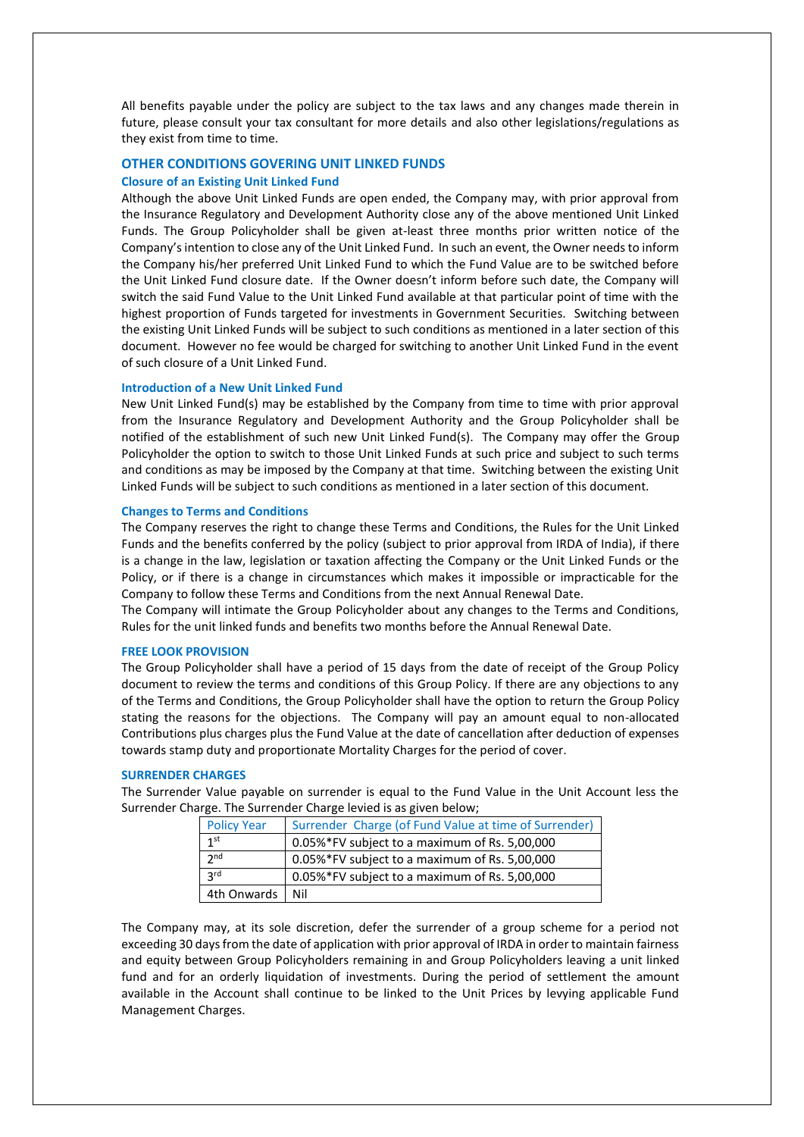All benefits payable under the policy are subject to the tax laws and any changes made therein in future, please consult your tax consultant for more details and also other legislations/regulations as they exist from time to time.

## **OTHER CONDITIONS GOVERING UNIT LINKED FUNDS**

#### **Closure of an Existing Unit Linked Fund**

Although the above Unit Linked Funds are open ended, the Company may, with prior approval from the Insurance Regulatory and Development Authority close any of the above mentioned Unit Linked Funds. The Group Policyholder shall be given at-least three months prior written notice of the Company's intention to close any of the Unit Linked Fund. In such an event, the Owner needs to inform the Company his/her preferred Unit Linked Fund to which the Fund Value are to be switched before the Unit Linked Fund closure date. If the Owner doesn't inform before such date, the Company will switch the said Fund Value to the Unit Linked Fund available at that particular point of time with the highest proportion of Funds targeted for investments in Government Securities. Switching between the existing Unit Linked Funds will be subject to such conditions as mentioned in a later section of this document. However no fee would be charged for switching to another Unit Linked Fund in the event of such closure of a Unit Linked Fund.

#### **Introduction of a New Unit Linked Fund**

New Unit Linked Fund(s) may be established by the Company from time to time with prior approval from the Insurance Regulatory and Development Authority and the Group Policyholder shall be notified of the establishment of such new Unit Linked Fund(s). The Company may offer the Group Policyholder the option to switch to those Unit Linked Funds at such price and subject to such terms and conditions as may be imposed by the Company at that time. Switching between the existing Unit Linked Funds will be subject to such conditions as mentioned in a later section of this document.

#### **Changes to Terms and Conditions**

The Company reserves the right to change these Terms and Conditions, the Rules for the Unit Linked Funds and the benefits conferred by the policy (subject to prior approval from IRDA of India), if there is a change in the law, legislation or taxation affecting the Company or the Unit Linked Funds or the Policy, or if there is a change in circumstances which makes it impossible or impracticable for the Company to follow these Terms and Conditions from the next Annual Renewal Date.

The Company will intimate the Group Policyholder about any changes to the Terms and Conditions, Rules for the unit linked funds and benefits two months before the Annual Renewal Date.

#### **FREE LOOK PROVISION**

The Group Policyholder shall have a period of 15 days from the date of receipt of the Group Policy document to review the terms and conditions of this Group Policy. If there are any objections to any of the Terms and Conditions, the Group Policyholder shall have the option to return the Group Policy stating the reasons for the objections. The Company will pay an amount equal to non-allocated Contributions plus charges plus the Fund Value at the date of cancellation after deduction of expenses towards stamp duty and proportionate Mortality Charges for the period of cover.

#### **SURRENDER CHARGES**

The Surrender Value payable on surrender is equal to the Fund Value in the Unit Account less the Surrender Charge. The Surrender Charge levied is as given below;

| <b>Policy Year</b> | Surrender Charge (of Fund Value at time of Surrender) |
|--------------------|-------------------------------------------------------|
| 1 <sup>st</sup>    | 0.05%*FV subject to a maximum of Rs. 5,00,000         |
| 2 <sub>nd</sub>    | 0.05%*FV subject to a maximum of Rs. 5,00,000         |
| 2rd                | 0.05%*FV subject to a maximum of Rs. 5,00,000         |
| 4th Onwards        | Nil                                                   |

The Company may, at its sole discretion, defer the surrender of a group scheme for a period not exceeding 30 days from the date of application with prior approval of IRDA in order to maintain fairness and equity between Group Policyholders remaining in and Group Policyholders leaving a unit linked fund and for an orderly liquidation of investments. During the period of settlement the amount available in the Account shall continue to be linked to the Unit Prices by levying applicable Fund Management Charges.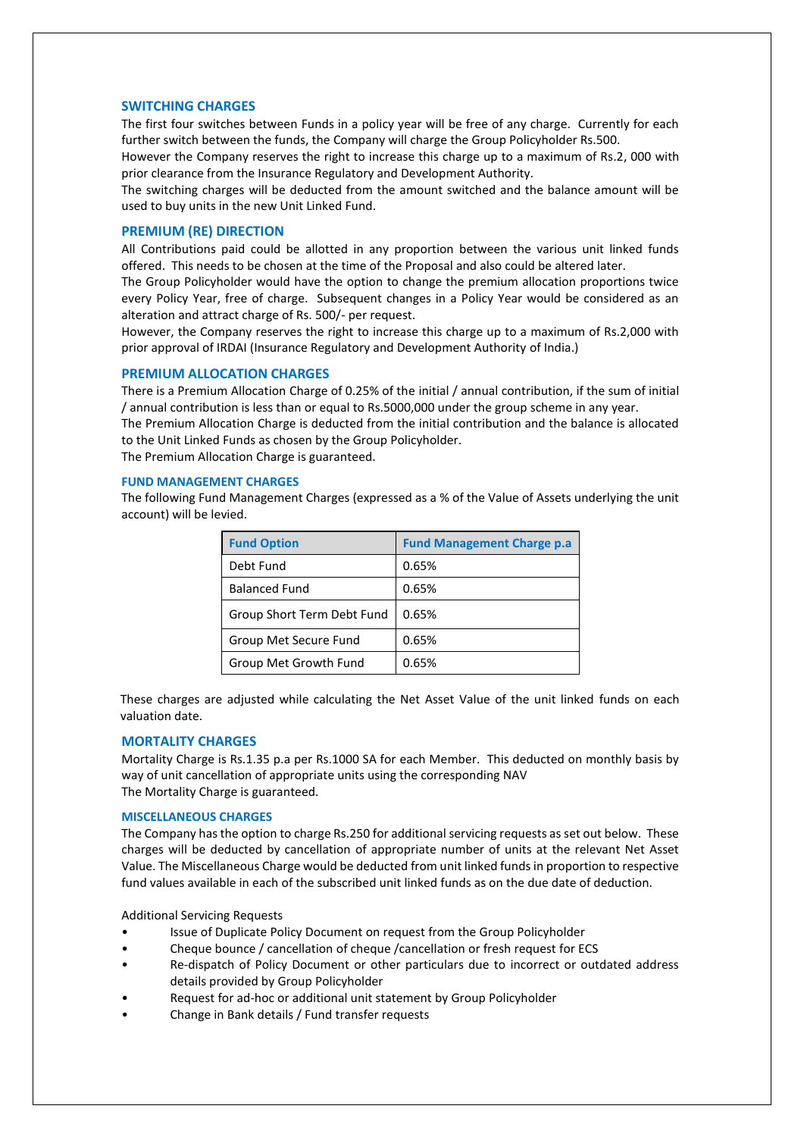## **SWITCHING CHARGES**

The first four switches between Funds in a policy year will be free of any charge. Currently for each further switch between the funds, the Company will charge the Group Policyholder Rs.500.

However the Company reserves the right to increase this charge up to a maximum of Rs.2, 000 with prior clearance from the Insurance Regulatory and Development Authority.

The switching charges will be deducted from the amount switched and the balance amount will be used to buy units in the new Unit Linked Fund.

## **PREMIUM (RE) DIRECTION**

All Contributions paid could be allotted in any proportion between the various unit linked funds offered. This needs to be chosen at the time of the Proposal and also could be altered later.

The Group Policyholder would have the option to change the premium allocation proportions twice every Policy Year, free of charge. Subsequent changes in a Policy Year would be considered as an alteration and attract charge of Rs. 500/- per request.

However, the Company reserves the right to increase this charge up to a maximum of Rs.2,000 with prior approval of IRDAI (Insurance Regulatory and Development Authority of India.)

## **PREMIUM ALLOCATION CHARGES**

There is a Premium Allocation Charge of 0.25% of the initial / annual contribution, if the sum of initial / annual contribution is less than or equal to Rs.5000,000 under the group scheme in any year.

The Premium Allocation Charge is deducted from the initial contribution and the balance is allocated to the Unit Linked Funds as chosen by the Group Policyholder.

The Premium Allocation Charge is guaranteed.

## **FUND MANAGEMENT CHARGES**

The following Fund Management Charges (expressed as a % of the Value of Assets underlying the unit account) will be levied.

| <b>Fund Option</b>         | <b>Fund Management Charge p.a</b> |
|----------------------------|-----------------------------------|
| Debt Fund                  | 0.65%                             |
| <b>Balanced Fund</b>       | 0.65%                             |
| Group Short Term Debt Fund | 0.65%                             |
| Group Met Secure Fund      | 0.65%                             |
| Group Met Growth Fund      | 0.65%                             |

These charges are adjusted while calculating the Net Asset Value of the unit linked funds on each valuation date.

## **MORTALITY CHARGES**

Mortality Charge is Rs.1.35 p.a per Rs.1000 SA for each Member. This deducted on monthly basis by way of unit cancellation of appropriate units using the corresponding NAV The Mortality Charge is guaranteed.

#### **MISCELLANEOUS CHARGES**

The Company has the option to charge Rs.250 for additional servicing requests as set out below. These charges will be deducted by cancellation of appropriate number of units at the relevant Net Asset Value. The Miscellaneous Charge would be deducted from unit linked funds in proportion to respective fund values available in each of the subscribed unit linked funds as on the due date of deduction.

Additional Servicing Requests

- Issue of Duplicate Policy Document on request from the Group Policyholder
- Cheque bounce / cancellation of cheque /cancellation or fresh request for ECS
- Re-dispatch of Policy Document or other particulars due to incorrect or outdated address details provided by Group Policyholder
- Request for ad-hoc or additional unit statement by Group Policyholder
- Change in Bank details / Fund transfer requests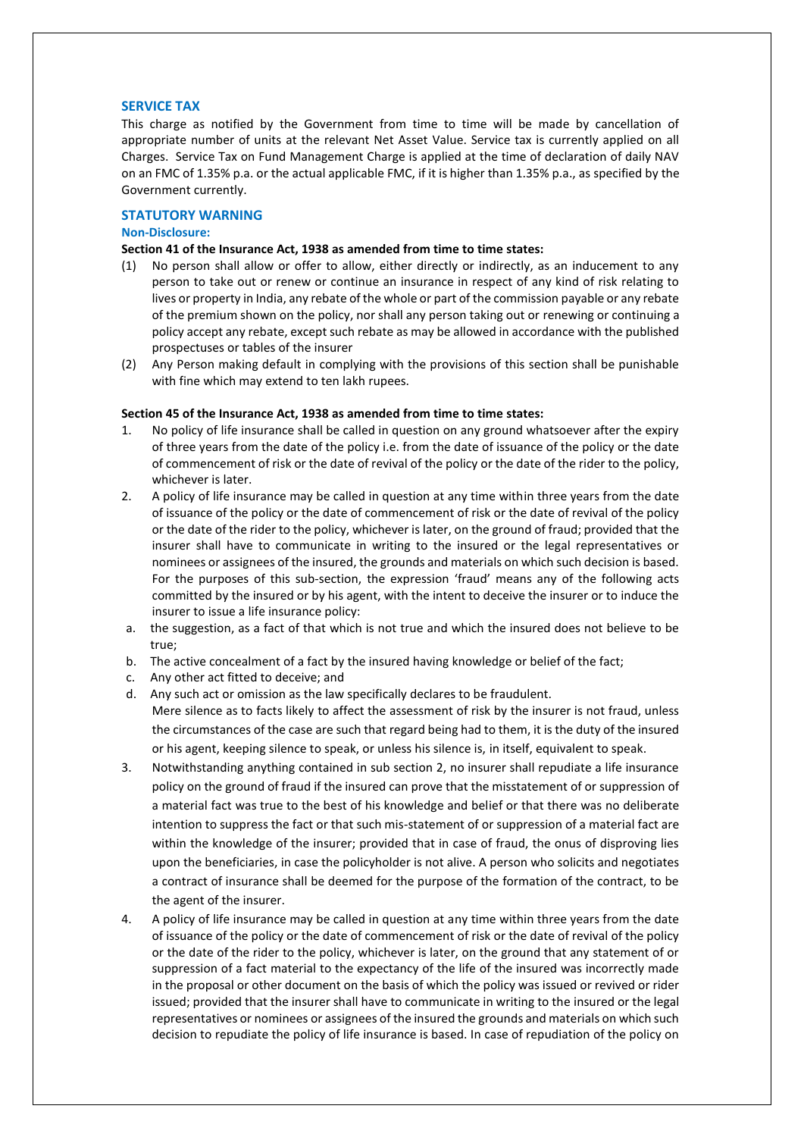## **SERVICE TAX**

This charge as notified by the Government from time to time will be made by cancellation of appropriate number of units at the relevant Net Asset Value. Service tax is currently applied on all Charges. Service Tax on Fund Management Charge is applied at the time of declaration of daily NAV on an FMC of 1.35% p.a. or the actual applicable FMC, if it is higher than 1.35% p.a., as specified by the Government currently.

## **STATUTORY WARNING**

## **Non-Disclosure:**

## **Section 41 of the Insurance Act, 1938 as amended from time to time states:**

- (1) No person shall allow or offer to allow, either directly or indirectly, as an inducement to any person to take out or renew or continue an insurance in respect of any kind of risk relating to lives or property in India, any rebate of the whole or part of the commission payable or any rebate of the premium shown on the policy, nor shall any person taking out or renewing or continuing a policy accept any rebate, except such rebate as may be allowed in accordance with the published prospectuses or tables of the insurer
- (2) Any Person making default in complying with the provisions of this section shall be punishable with fine which may extend to ten lakh rupees.

## **Section 45 of the Insurance Act, 1938 as amended from time to time states:**

- 1. No policy of life insurance shall be called in question on any ground whatsoever after the expiry of three years from the date of the policy i.e. from the date of issuance of the policy or the date of commencement of risk or the date of revival of the policy or the date of the rider to the policy, whichever is later.
- 2. A policy of life insurance may be called in question at any time within three years from the date of issuance of the policy or the date of commencement of risk or the date of revival of the policy or the date of the rider to the policy, whichever is later, on the ground of fraud; provided that the insurer shall have to communicate in writing to the insured or the legal representatives or nominees or assignees of the insured, the grounds and materials on which such decision is based. For the purposes of this sub-section, the expression 'fraud' means any of the following acts committed by the insured or by his agent, with the intent to deceive the insurer or to induce the insurer to issue a life insurance policy:
- a. the suggestion, as a fact of that which is not true and which the insured does not believe to be true;
- b. The active concealment of a fact by the insured having knowledge or belief of the fact;
- c. Any other act fitted to deceive; and
- d. Any such act or omission as the law specifically declares to be fraudulent. Mere silence as to facts likely to affect the assessment of risk by the insurer is not fraud, unless the circumstances of the case are such that regard being had to them, it is the duty of the insured or his agent, keeping silence to speak, or unless his silence is, in itself, equivalent to speak.
- 3. Notwithstanding anything contained in sub section 2, no insurer shall repudiate a life insurance policy on the ground of fraud if the insured can prove that the misstatement of or suppression of a material fact was true to the best of his knowledge and belief or that there was no deliberate intention to suppress the fact or that such mis-statement of or suppression of a material fact are within the knowledge of the insurer; provided that in case of fraud, the onus of disproving lies upon the beneficiaries, in case the policyholder is not alive. A person who solicits and negotiates a contract of insurance shall be deemed for the purpose of the formation of the contract, to be the agent of the insurer.
- 4. A policy of life insurance may be called in question at any time within three years from the date of issuance of the policy or the date of commencement of risk or the date of revival of the policy or the date of the rider to the policy, whichever is later, on the ground that any statement of or suppression of a fact material to the expectancy of the life of the insured was incorrectly made in the proposal or other document on the basis of which the policy was issued or revived or rider issued; provided that the insurer shall have to communicate in writing to the insured or the legal representatives or nominees or assignees of the insured the grounds and materials on which such decision to repudiate the policy of life insurance is based. In case of repudiation of the policy on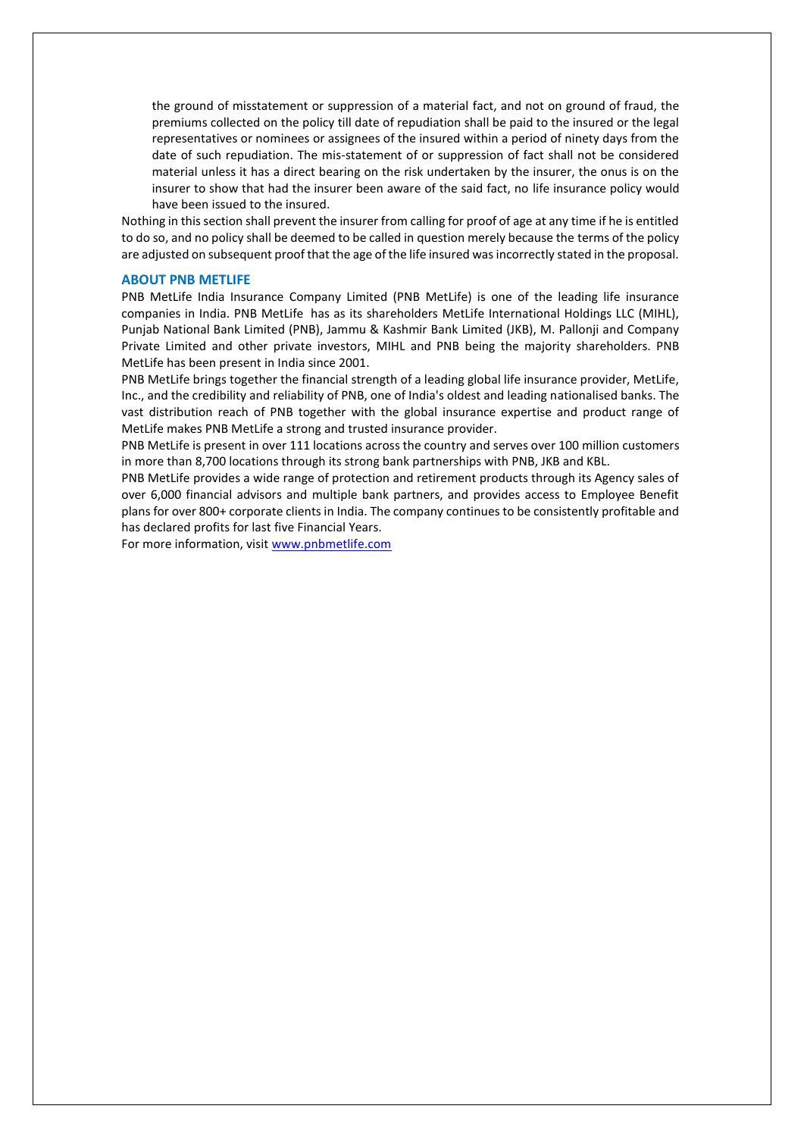the ground of misstatement or suppression of a material fact, and not on ground of fraud, the premiums collected on the policy till date of repudiation shall be paid to the insured or the legal representatives or nominees or assignees of the insured within a period of ninety days from the date of such repudiation. The mis-statement of or suppression of fact shall not be considered material unless it has a direct bearing on the risk undertaken by the insurer, the onus is on the insurer to show that had the insurer been aware of the said fact, no life insurance policy would have been issued to the insured.

Nothing in this section shall prevent the insurer from calling for proof of age at any time if he is entitled to do so, and no policy shall be deemed to be called in question merely because the terms of the policy are adjusted on subsequent proof that the age of the life insured was incorrectly stated in the proposal.

#### **ABOUT PNB METLIFE**

PNB MetLife India Insurance Company Limited (PNB MetLife) is one of the leading life insurance companies in India. PNB MetLife has as its shareholders MetLife International Holdings LLC (MIHL), Punjab National Bank Limited (PNB), Jammu & Kashmir Bank Limited (JKB), M. Pallonji and Company Private Limited and other private investors, MIHL and PNB being the majority shareholders. PNB MetLife has been present in India since 2001.

PNB MetLife brings together the financial strength of a leading global life insurance provider, MetLife, Inc., and the credibility and reliability of PNB, one of India's oldest and leading nationalised banks. The vast distribution reach of PNB together with the global insurance expertise and product range of MetLife makes PNB MetLife a strong and trusted insurance provider.

PNB MetLife is present in over 111 locations across the country and serves over 100 million customers in more than 8,700 locations through its strong bank partnerships with PNB, JKB and KBL.

PNB MetLife provides a wide range of protection and retirement products through its Agency sales of over 6,000 financial advisors and multiple bank partners, and provides access to Employee Benefit plans for over 800+ corporate clients in India. The company continues to be consistently profitable and has declared profits for last five Financial Years.

For more information, visit [www.pnbmetlife.com](http://www.pnbmetlife.com/)